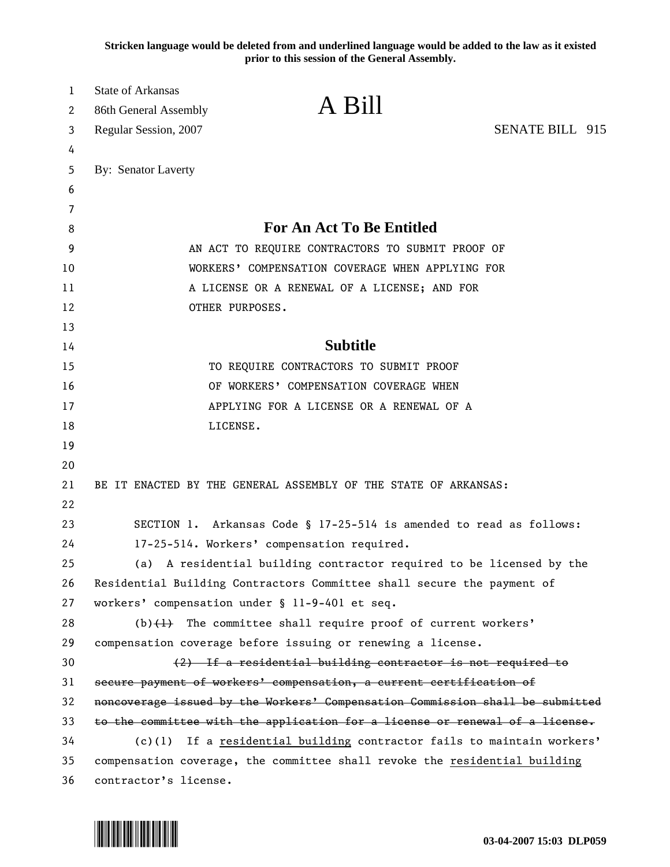**Stricken language would be deleted from and underlined language would be added to the law as it existed prior to this session of the General Assembly.**

| 1<br>2 | <b>State of Arkansas</b><br>86th General Assembly                             | A Bill                                                                |                        |  |
|--------|-------------------------------------------------------------------------------|-----------------------------------------------------------------------|------------------------|--|
| 3      | Regular Session, 2007                                                         |                                                                       | <b>SENATE BILL 915</b> |  |
| 4      |                                                                               |                                                                       |                        |  |
| 5      | By: Senator Laverty                                                           |                                                                       |                        |  |
| 6      |                                                                               |                                                                       |                        |  |
| 7      |                                                                               |                                                                       |                        |  |
| 8      | <b>For An Act To Be Entitled</b>                                              |                                                                       |                        |  |
| 9      | AN ACT TO REQUIRE CONTRACTORS TO SUBMIT PROOF OF                              |                                                                       |                        |  |
| 10     |                                                                               | WORKERS' COMPENSATION COVERAGE WHEN APPLYING FOR                      |                        |  |
| 11     |                                                                               | A LICENSE OR A RENEWAL OF A LICENSE; AND FOR                          |                        |  |
| 12     | OTHER PURPOSES.                                                               |                                                                       |                        |  |
| 13     |                                                                               |                                                                       |                        |  |
| 14     | <b>Subtitle</b>                                                               |                                                                       |                        |  |
| 15     | TO REQUIRE CONTRACTORS TO SUBMIT PROOF                                        |                                                                       |                        |  |
| 16     |                                                                               | OF WORKERS' COMPENSATION COVERAGE WHEN                                |                        |  |
| 17     | APPLYING FOR A LICENSE OR A RENEWAL OF A                                      |                                                                       |                        |  |
| 18     | LICENSE.                                                                      |                                                                       |                        |  |
| 19     |                                                                               |                                                                       |                        |  |
| 20     |                                                                               |                                                                       |                        |  |
| 21     |                                                                               | BE IT ENACTED BY THE GENERAL ASSEMBLY OF THE STATE OF ARKANSAS:       |                        |  |
| 22     |                                                                               |                                                                       |                        |  |
| 23     |                                                                               | SECTION 1. Arkansas Code § 17-25-514 is amended to read as follows:   |                        |  |
| 24     | 17-25-514. Workers' compensation required.                                    |                                                                       |                        |  |
| 25     |                                                                               | (a) A residential building contractor required to be licensed by the  |                        |  |
| 26     | Residential Building Contractors Committee shall secure the payment of        |                                                                       |                        |  |
| 27     | workers' compensation under § 11-9-401 et seq.                                |                                                                       |                        |  |
| 28     |                                                                               | $(b)$ (b) $(1)$ The committee shall require proof of current workers' |                        |  |
| 29     | compensation coverage before issuing or renewing a license.                   |                                                                       |                        |  |
| 30     |                                                                               | (2) If a residential building contractor is not required to           |                        |  |
| 31     | secure payment of workers' compensation, a current certification of           |                                                                       |                        |  |
| 32     | noncoverage issued by the Workers' Compensation Commission shall be submitted |                                                                       |                        |  |
| 33     | to the committee with the application for a license or renewal of a license.  |                                                                       |                        |  |
| 34     | (c)(1) If a residential building contractor fails to maintain workers'        |                                                                       |                        |  |
| 35     | compensation coverage, the committee shall revoke the residential building    |                                                                       |                        |  |
| 36     | contractor's license.                                                         |                                                                       |                        |  |